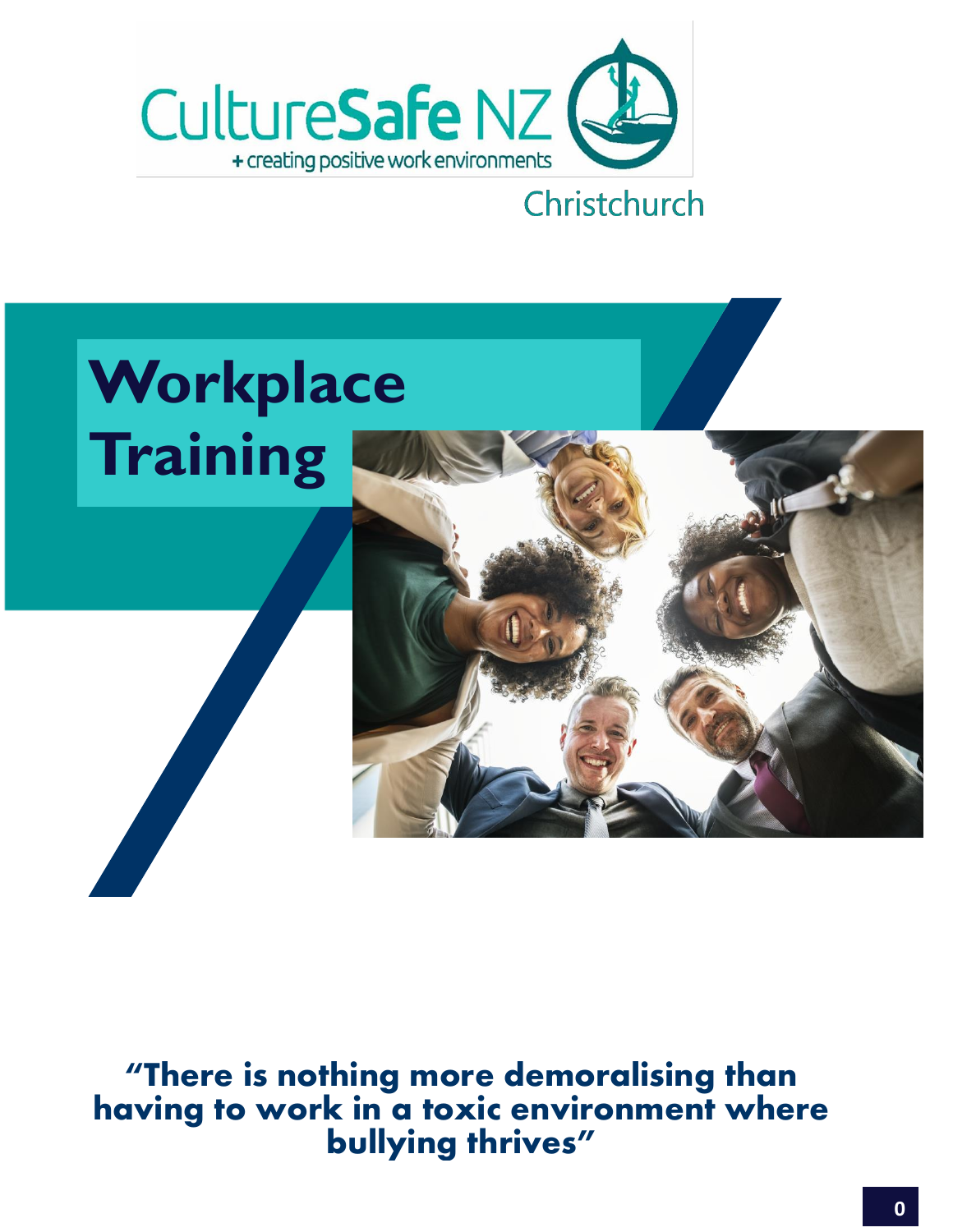



"There is nothing more demoralising than having to work in a toxic environment where bullying thrives"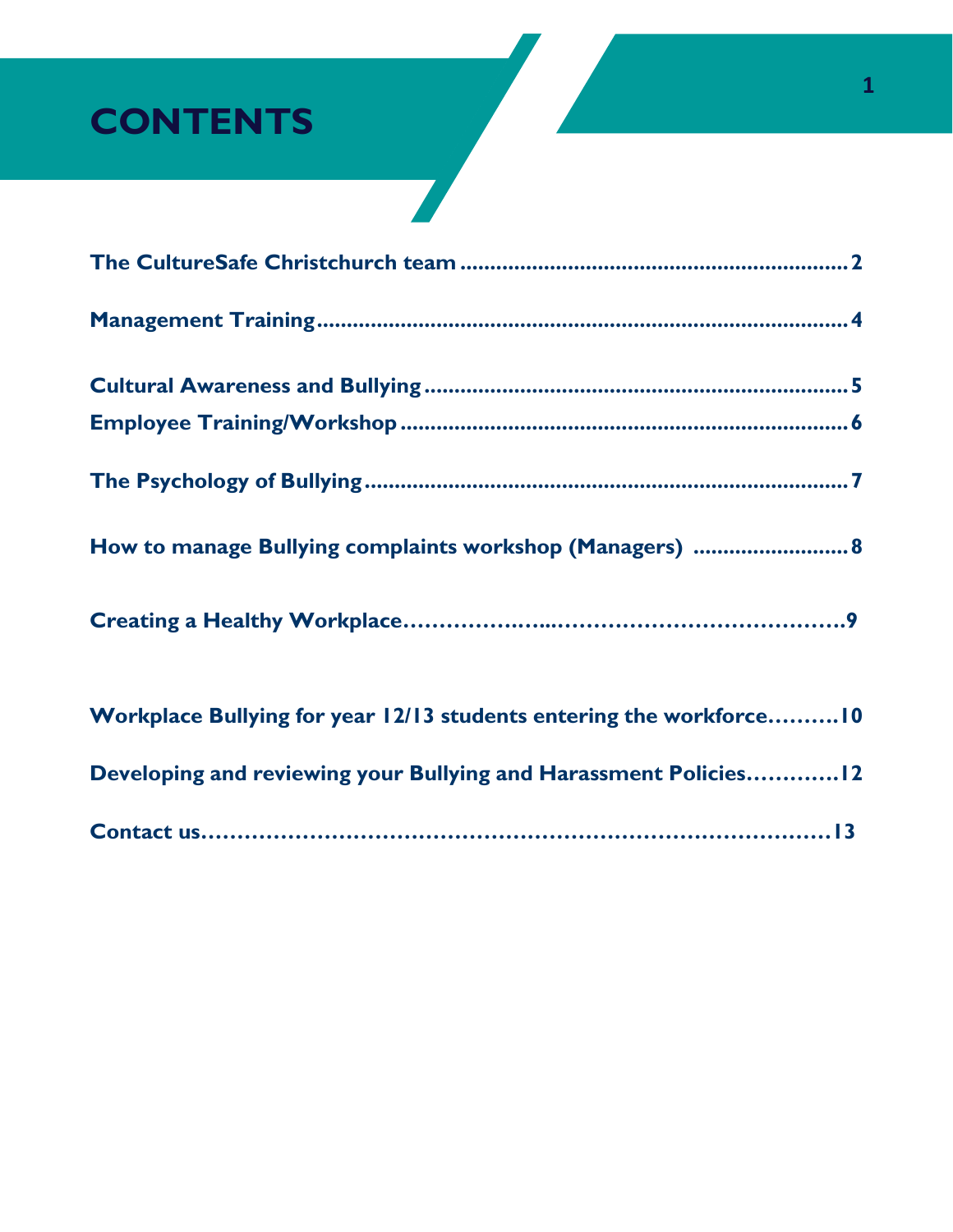# **CONTENTS**

| How to manage Bullying complaints workshop (Managers)  8            |
|---------------------------------------------------------------------|
|                                                                     |
| Workplace Bullying for year 12/13 students entering the workforce10 |
| Developing and reviewing your Bullying and Harassment Policies 12   |
|                                                                     |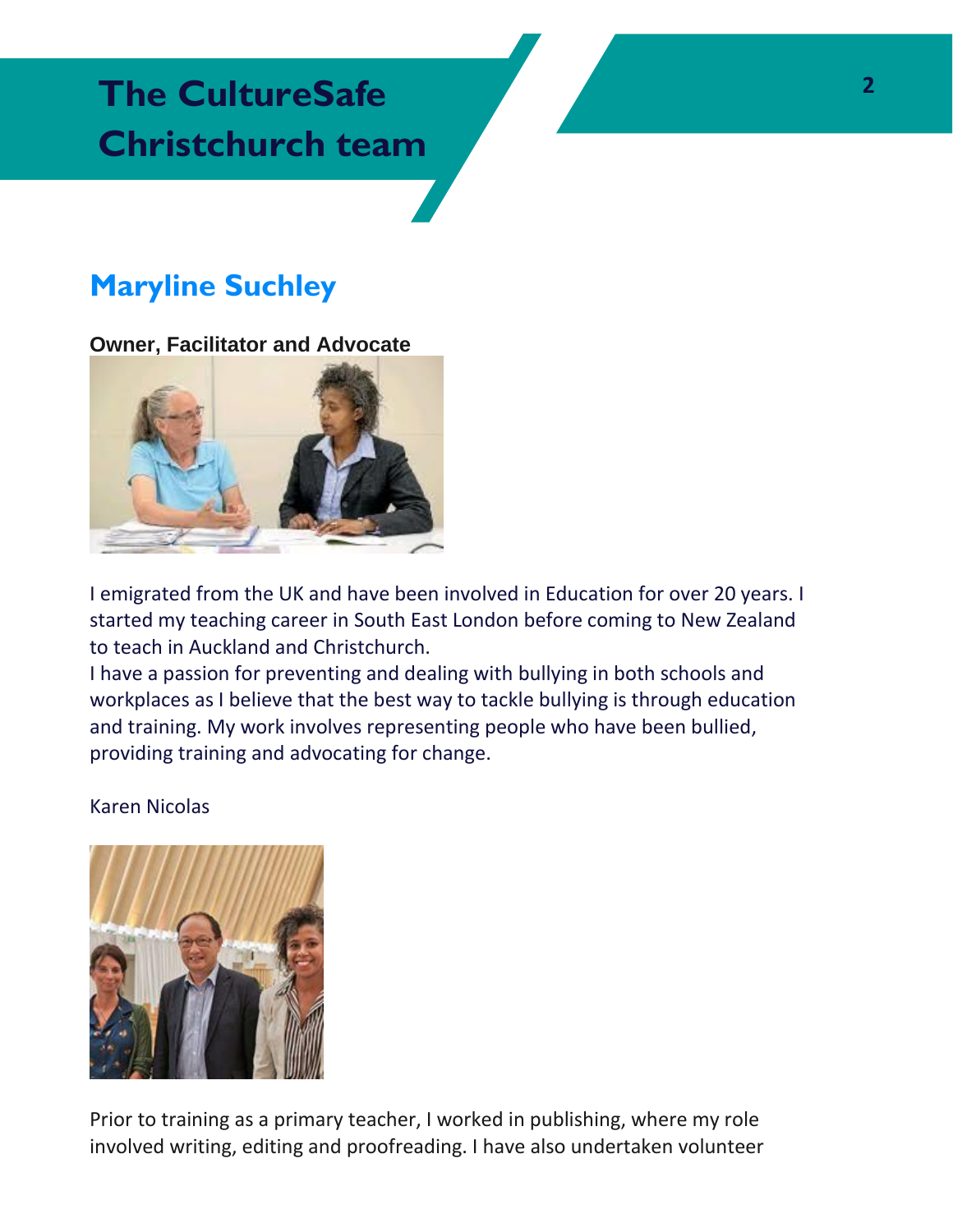## **<sup>2</sup> The CultureSafe Christchurch team**

## **Maryline Suchley**

### **Owner, Facilitator and Advocate**



I emigrated from the UK and have been involved in Education for over 20 years. I started my teaching career in South East London before coming to New Zealand to teach in Auckland and Christchurch.

I have a passion for preventing and dealing with bullying in both schools and workplaces as I believe that the best way to tackle bullying is through education and training. My work involves representing people who have been bullied, providing training and advocating for change.

#### Karen Nicolas



Prior to training as a primary teacher, I worked in publishing, where my role involved writing, editing and proofreading. I have also undertaken volunteer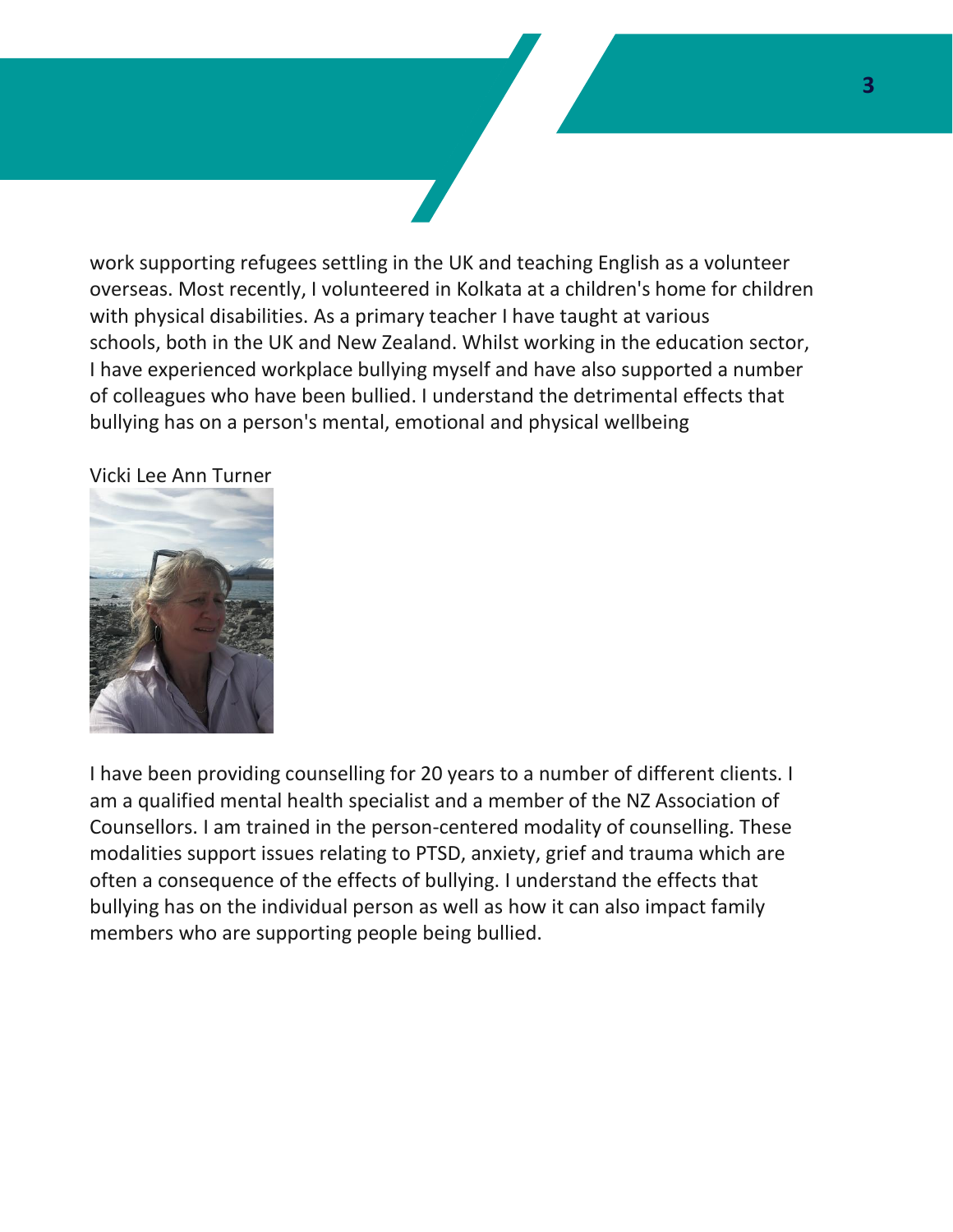work supporting refugees settling in the UK and teaching English as a volunteer overseas. Most recently, I volunteered in Kolkata at a children's home for children with physical disabilities. As a primary teacher I have taught at various schools, both in the UK and New Zealand. Whilst working in the education sector, I have experienced workplace bullying myself and have also supported a number of colleagues who have been bullied. I understand the detrimental effects that bullying has on a person's mental, emotional and physical wellbeing

Vicki Lee Ann Turner



I have been providing counselling for 20 years to a number of different clients. I am a qualified mental health specialist and a member of the NZ Association of Counsellors. I am trained in the person-centered modality of counselling. These modalities support issues relating to PTSD, anxiety, grief and trauma which are often a consequence of the effects of bullying. I understand the effects that bullying has on the individual person as well as how it can also impact family members who are supporting people being bullied.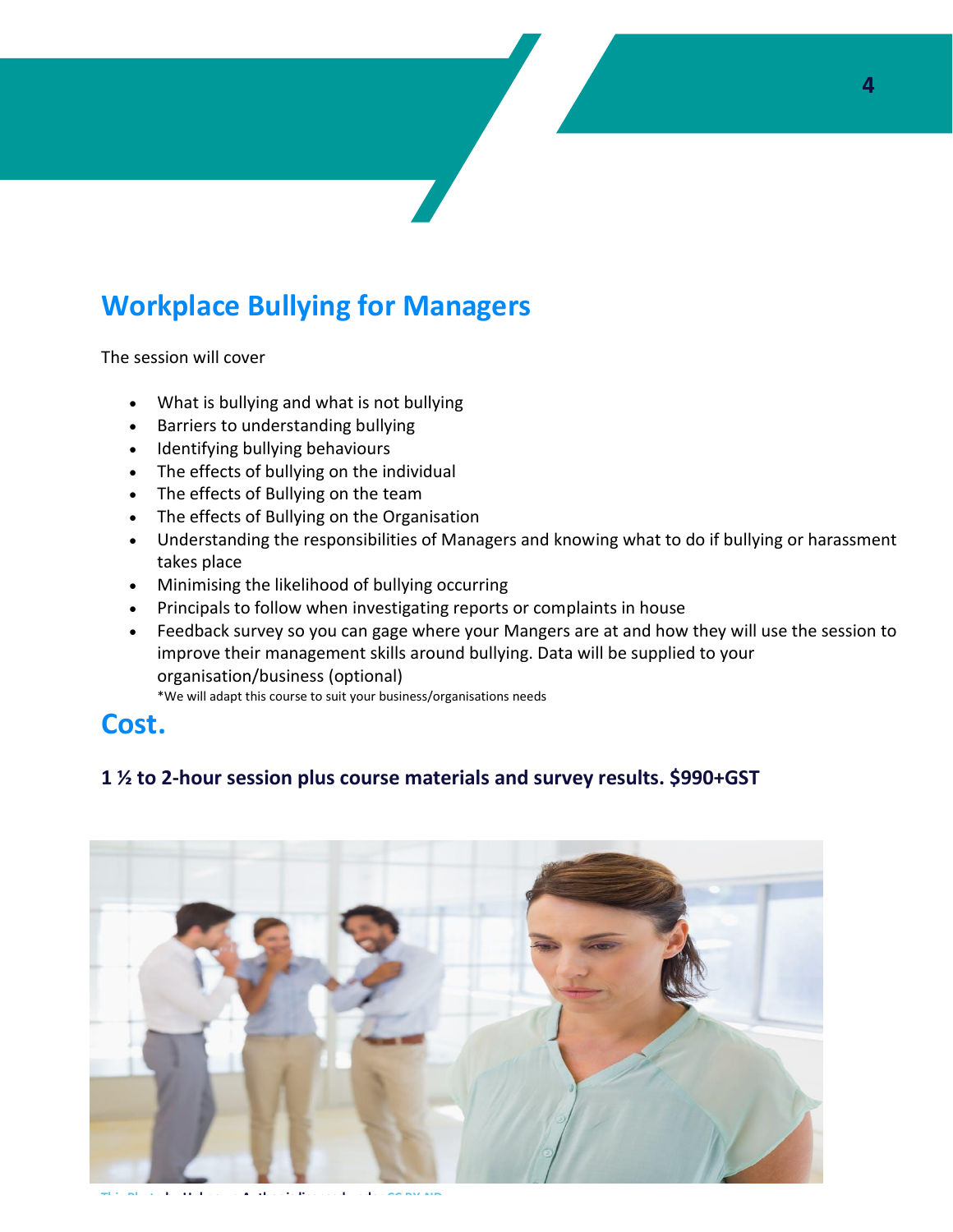## **Workplace Bullying for Managers**

The session will cover

- What is bullying and what is not bullying
- Barriers to understanding bullying
- Identifying bullying behaviours
- The effects of bullying on the individual
- The effects of Bullying on the team
- The effects of Bullying on the Organisation
- Understanding the responsibilities of Managers and knowing what to do if bullying or harassment takes place
- Minimising the likelihood of bullying occurring
- Principals to follow when investigating reports or complaints in house
- Feedback survey so you can gage where your Mangers are at and how they will use the session to improve their management skills around bullying. Data will be supplied to your organisation/business (optional)

\*We will adapt this course to suit your business/organisations needs

### **Cost.**

#### **1 ½ to 2-hour session plus course materials and survey results. \$990+GST**



**[This Photo](http://theconversation.com/like-a-cancer-of-the-workplace-bullying-is-a-symptom-of-dysfunction-43831) by Unknown Author is licensed unde[r CC BY-ND](https://creativecommons.org/licenses/by-nd/3.0/)**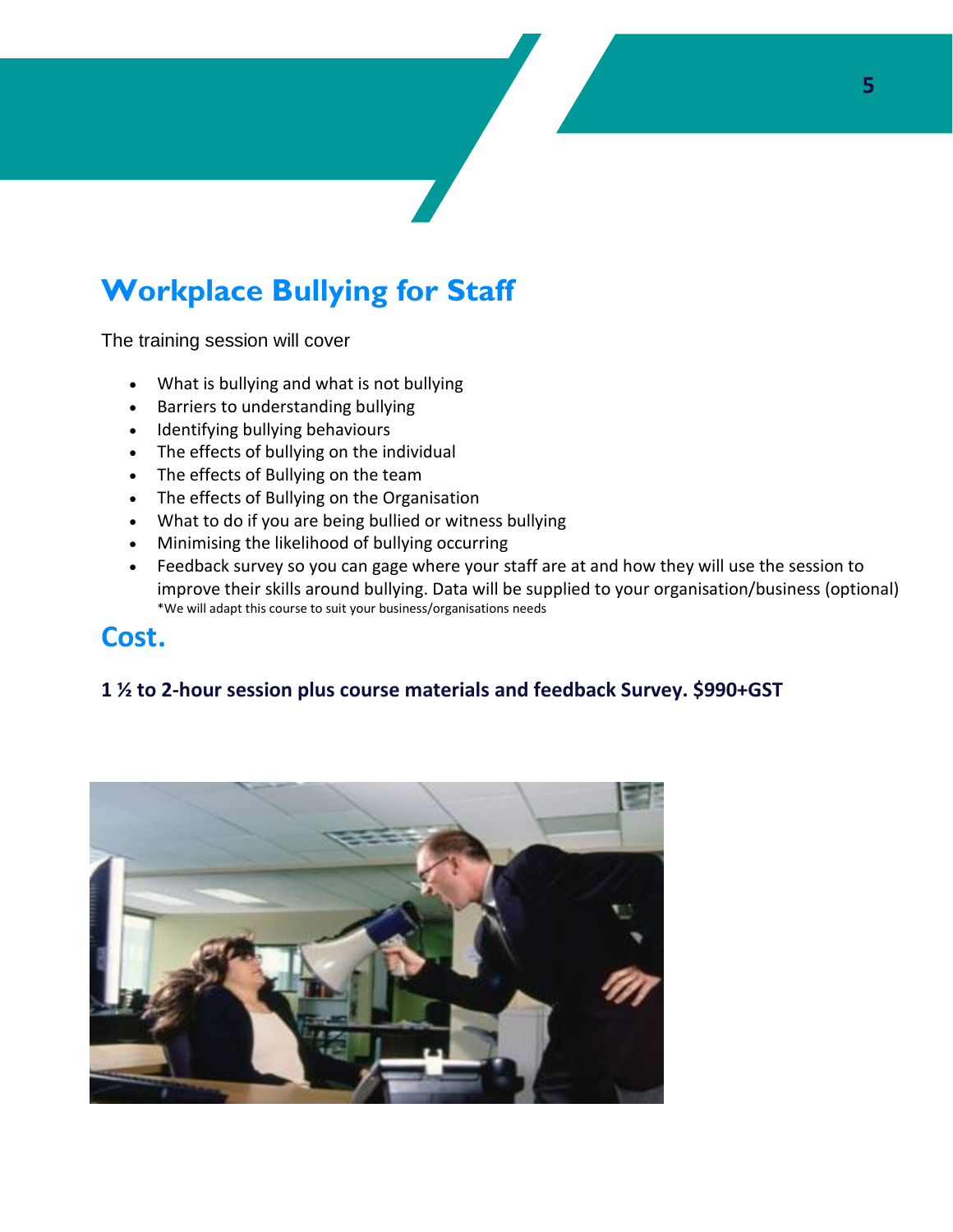## **Workplace Bullying for Staff**

The training session will cover

- What is bullying and what is not bullying
- Barriers to understanding bullying
- Identifying bullying behaviours
- The effects of bullying on the individual
- The effects of Bullying on the team
- The effects of Bullying on the Organisation
- What to do if you are being bullied or witness bullying
- Minimising the likelihood of bullying occurring
- Feedback survey so you can gage where your staff are at and how they will use the session to improve their skills around bullying. Data will be supplied to your organisation/business (optional) \*We will adapt this course to suit your business/organisations needs

### **Cost.**

#### **1 ½ to 2-hour session plus course materials and feedback Survey. \$990+GST**

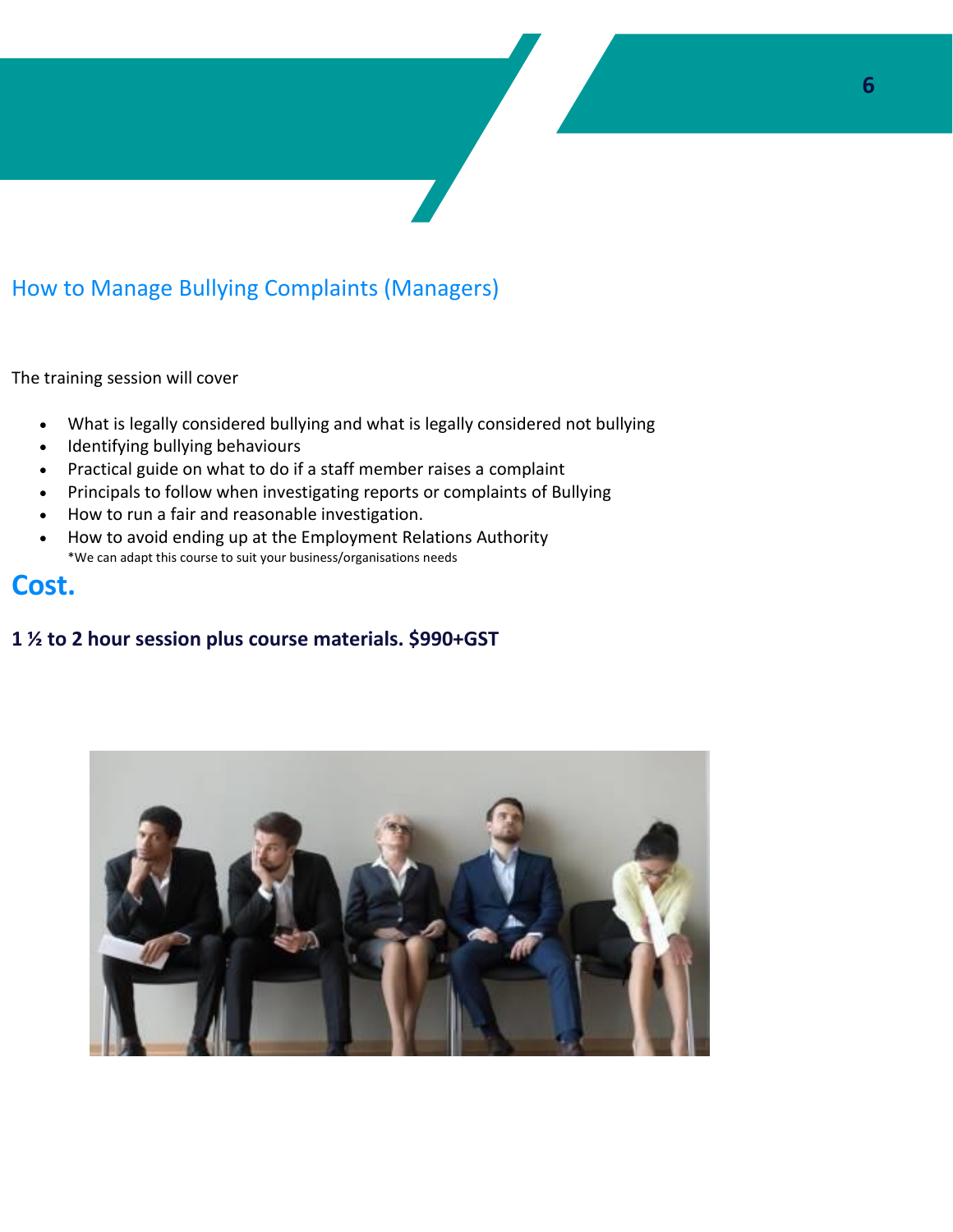### How to Manage Bullying Complaints (Managers)

The training session will cover

- What is legally considered bullying and what is legally considered not bullying
- Identifying bullying behaviours
- Practical guide on what to do if a staff member raises a complaint
- Principals to follow when investigating reports or complaints of Bullying
- How to run a fair and reasonable investigation.
- How to avoid ending up at the Employment Relations Authority \*We can adapt this course to suit your business/organisations needs

### **Cost.**

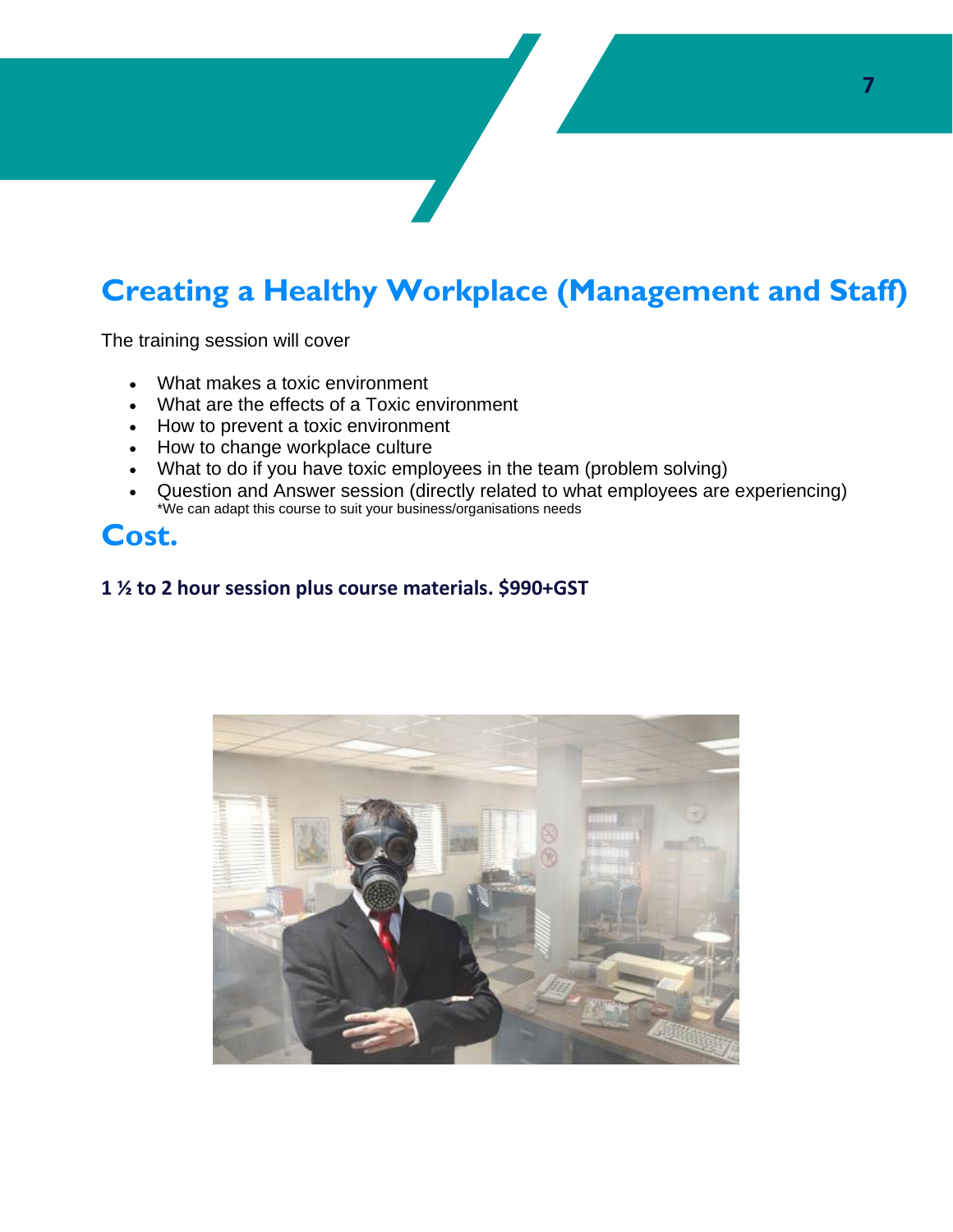## **Creating a Healthy Workplace (Management and Staff)**

The training session will cover

- What makes a toxic environment
- What are the effects of a Toxic environment
- How to prevent a toxic environment
- How to change workplace culture
- What to do if you have toxic employees in the team (problem solving)
- Question and Answer session (directly related to what employees are experiencing) \*We can adapt this course to suit your business/organisations needs

### **Cost.**

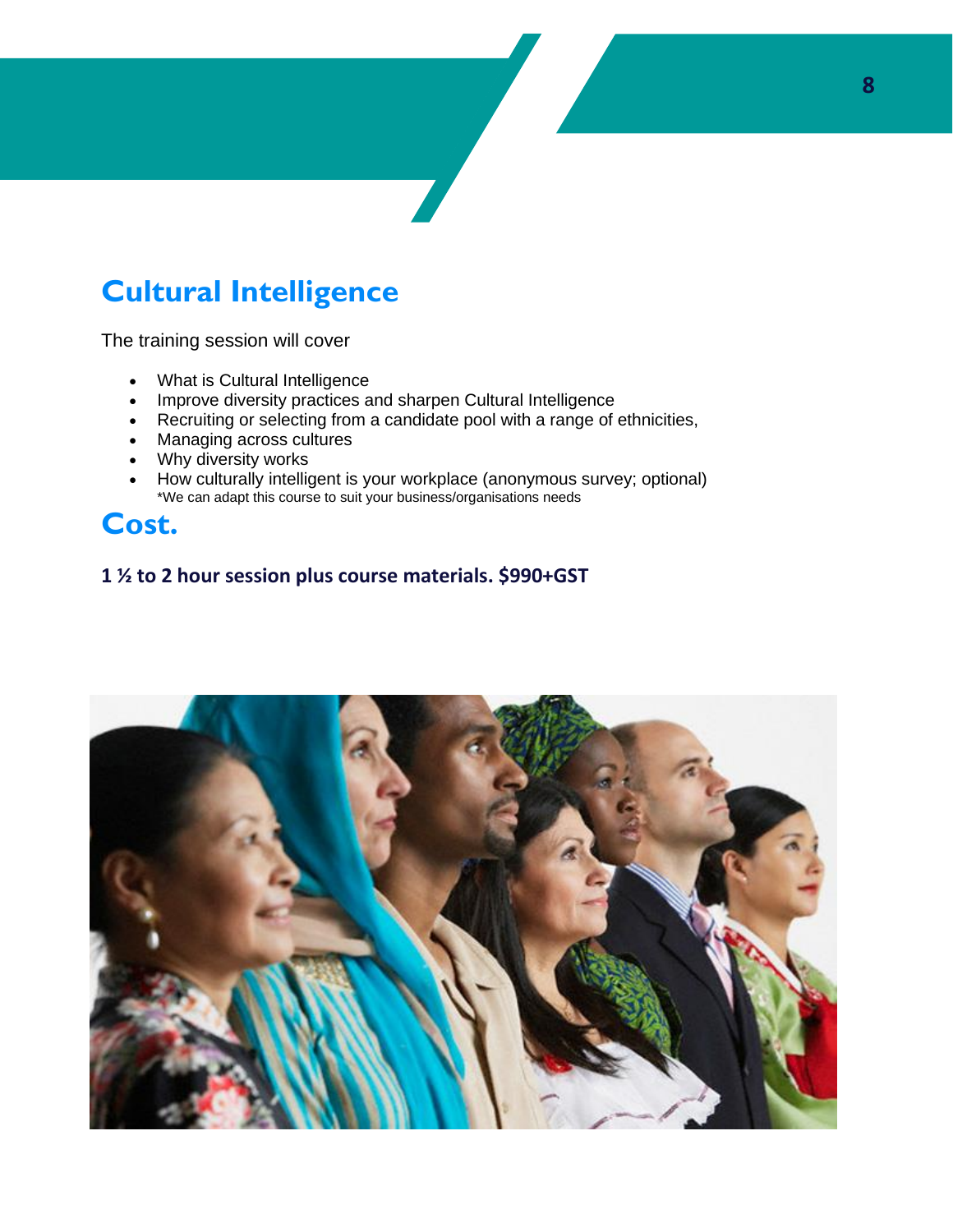## **Cultural Intelligence**

The training session will cover

- What is Cultural Intelligence
- Improve diversity practices and sharpen Cultural Intelligence
- Recruiting or selecting from a candidate pool with a range of ethnicities,
- Managing across cultures
- Why diversity works
- How culturally intelligent is your workplace (anonymous survey; optional) \*We can adapt this course to suit your business/organisations needs

### **Cost.**

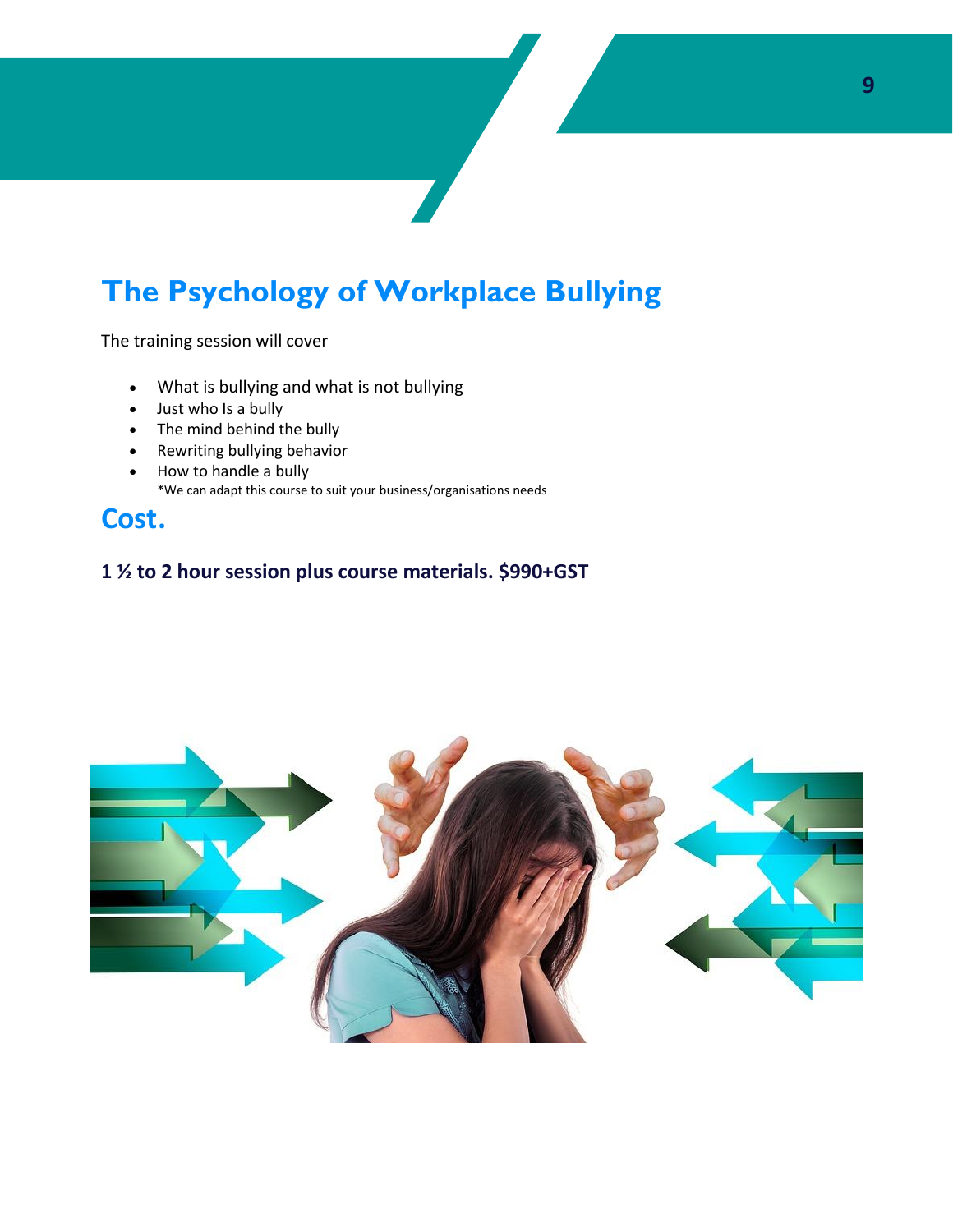## **The Psychology of Workplace Bullying**

The training session will cover

- What is bullying and what is not bullying
- Just who Is a bully
- The mind behind the bully
- Rewriting bullying behavior
- How to handle a bully \*We can adapt this course to suit your business/organisations needs

### **Cost.**

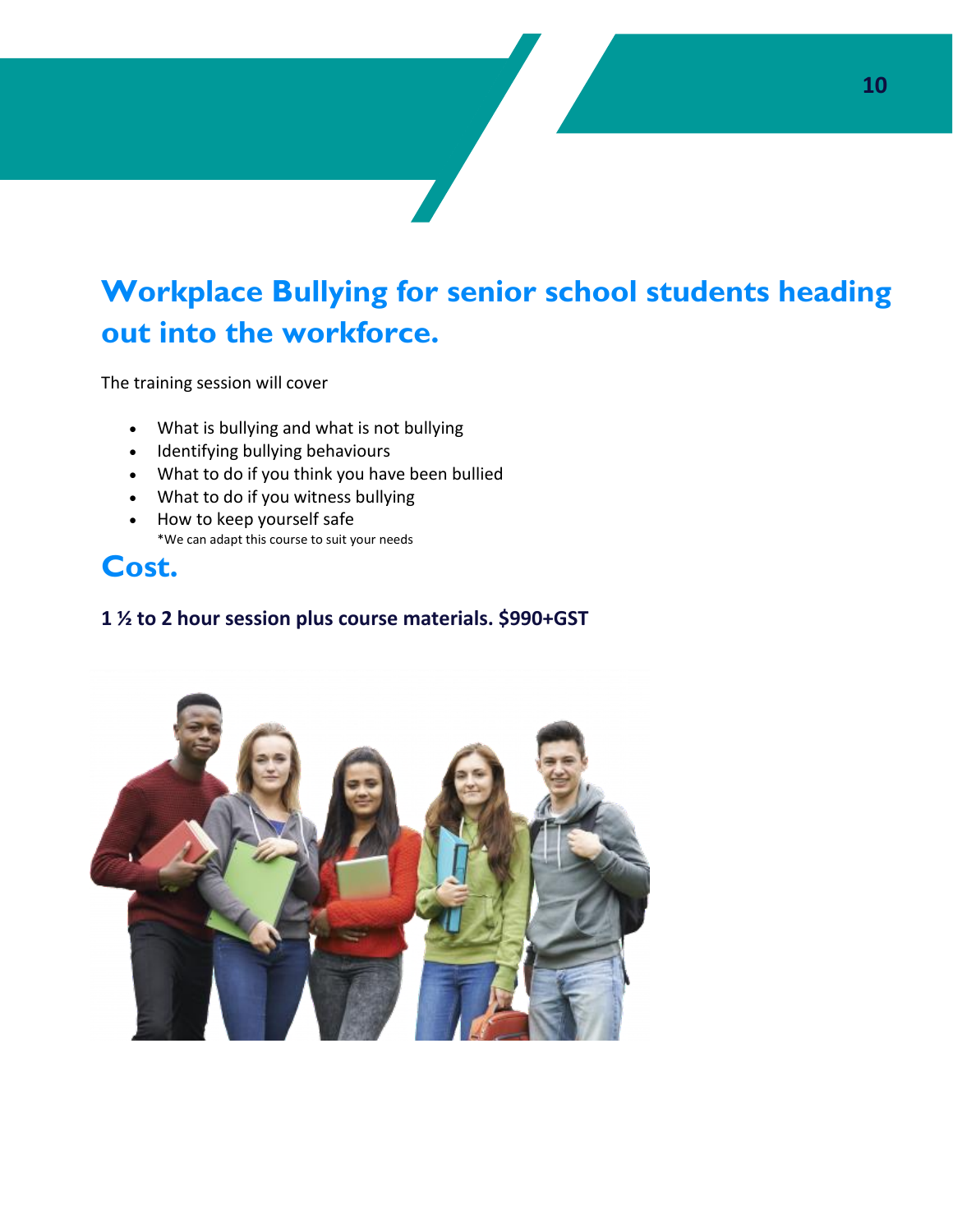## **Workplace Bullying for senior school students heading out into the workforce.**

The training session will cover

- What is bullying and what is not bullying
- Identifying bullying behaviours
- What to do if you think you have been bullied
- What to do if you witness bullying
- How to keep yourself safe \*We can adapt this course to suit your needs

### **Cost.**

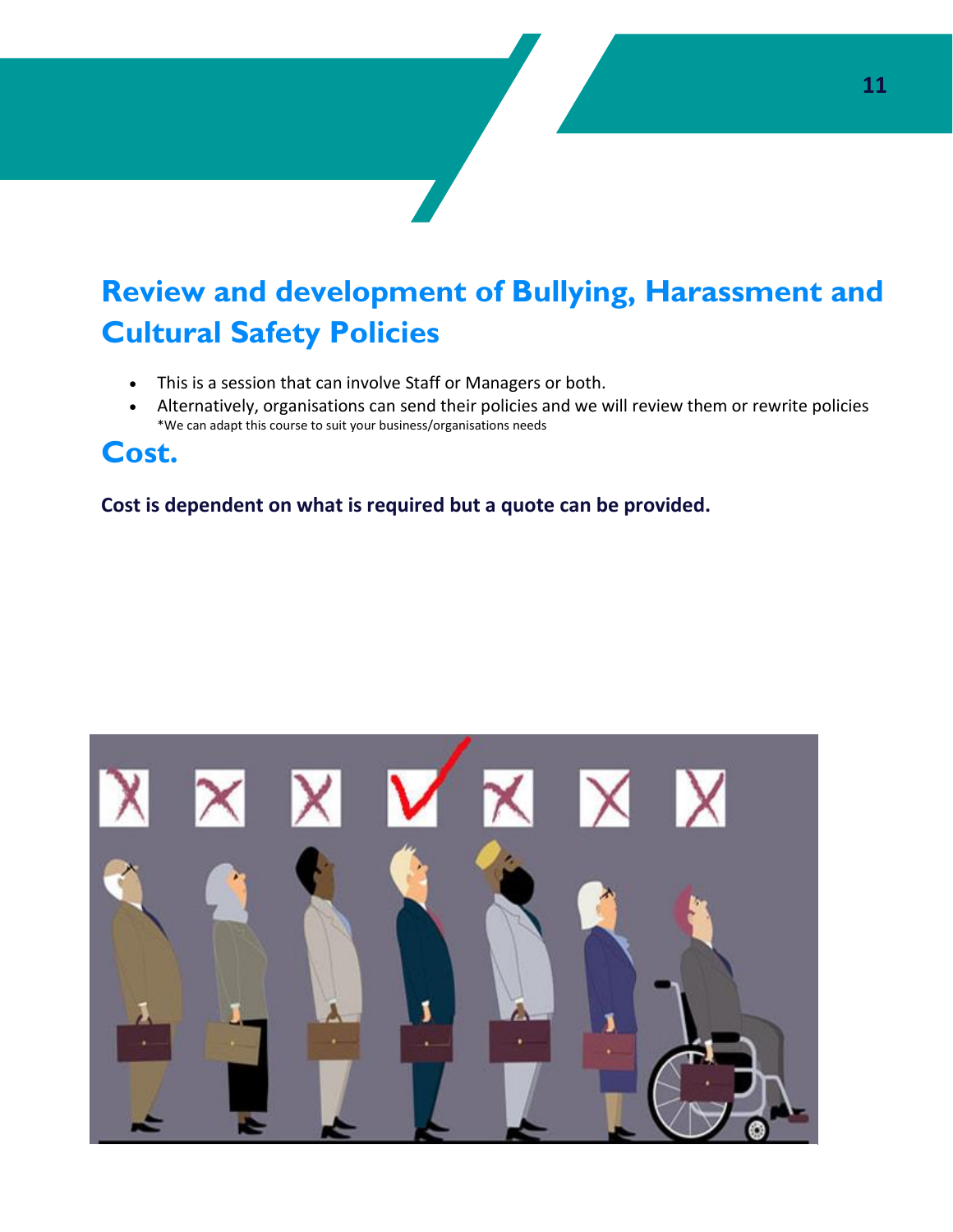## **Review and development of Bullying, Harassment and Cultural Safety Policies**

- This is a session that can involve Staff or Managers or both.
- Alternatively, organisations can send their policies and we will review them or rewrite policies \*We can adapt this course to suit your business/organisations needs

### **Cost.**

**Cost is dependent on what is required but a quote can be provided.**